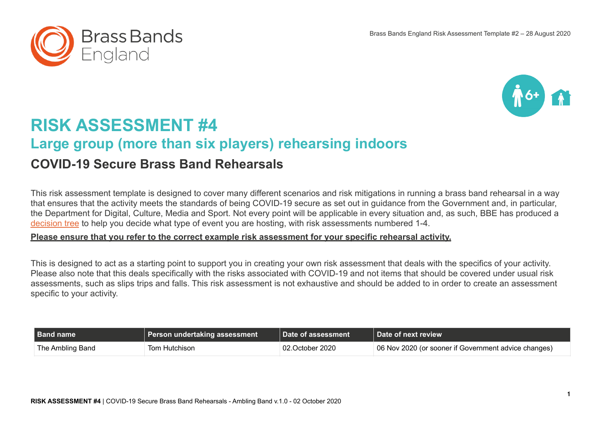



# **RISK ASSESSMENT #4 Large group (more than six players) rehearsing indoors**

# **COVID-19 Secure Brass Band Rehearsals**

This risk assessment template is designed to cover many different scenarios and risk mitigations in running a brass band rehearsal in a way that ensures that the activity meets the standards of being COVID-19 secure as set out in guidance from the Government and, in particular, the Department for Digital, Culture, Media and Sport. Not every point will be applicable in every situation and, as such, BBE has produced a [decision tree](https://www.bbe.org.uk/sites/brassbandsengland.co.uk/files/page/files/BBE103_BBE_COVID_RehearsalGuide_v3.pdf) to help you decide what type of event you are hosting, with risk assessments numbered 1-4.

#### **Please ensure that you refer to the correct example risk assessment for your specific rehearsal activity.**

This is designed to act as a starting point to support you in creating your own risk assessment that deals with the specifics of your activity. Please also note that this deals specifically with the risks associated with COVID-19 and not items that should be covered under usual risk assessments, such as slips trips and falls. This risk assessment is not exhaustive and should be added to in order to create an assessment specific to your activity.

| <b>Band name</b> | Person undertaking assessment | ∣ Date of assessment | ∣ Date of next review∶                               |
|------------------|-------------------------------|----------------------|------------------------------------------------------|
| The Ambling Band | Tom Hutchison                 | 02.October 2020      | 06 Nov 2020 (or sooner if Government advice changes) |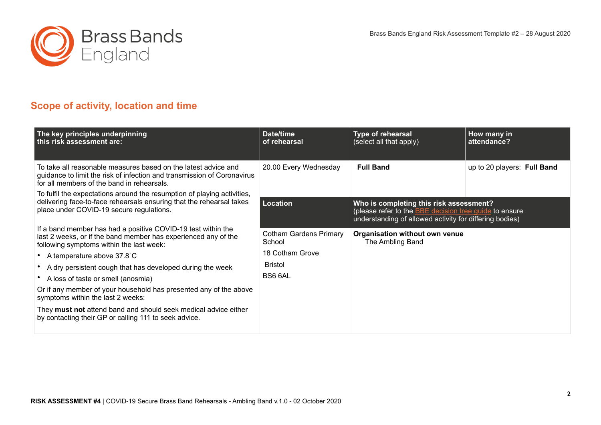

## **Scope of activity, location and time**

| The key principles underpinning<br>this risk assessment are:                                                                                                                                | Date/time<br>of rehearsal               | Type of rehearsal<br>(select all that apply)                                                                                                                        | How many in<br>attendance?  |  |  |
|---------------------------------------------------------------------------------------------------------------------------------------------------------------------------------------------|-----------------------------------------|---------------------------------------------------------------------------------------------------------------------------------------------------------------------|-----------------------------|--|--|
| To take all reasonable measures based on the latest advice and<br>guidance to limit the risk of infection and transmission of Coronavirus<br>for all members of the band in rehearsals.     | 20.00 Every Wednesday                   | <b>Full Band</b>                                                                                                                                                    | up to 20 players: Full Band |  |  |
| To fulfil the expectations around the resumption of playing activities,<br>delivering face-to-face rehearsals ensuring that the rehearsal takes<br>place under COVID-19 secure regulations. | <b>Location</b>                         | Who is completing this risk assessment?<br>(please refer to the <b>BBE</b> decision tree guide to ensure<br>understanding of allowed activity for differing bodies) |                             |  |  |
| If a band member has had a positive COVID-19 test within the<br>last 2 weeks, or if the band member has experienced any of the<br>following symptoms within the last week:                  | <b>Cotham Gardens Primary</b><br>School | Organisation without own venue<br>The Ambling Band                                                                                                                  |                             |  |  |
| • A temperature above $37.8^{\circ}$ C                                                                                                                                                      | 18 Cotham Grove                         |                                                                                                                                                                     |                             |  |  |
| • A dry persistent cough that has developed during the week                                                                                                                                 | <b>Bristol</b>                          |                                                                                                                                                                     |                             |  |  |
| A loss of taste or smell (anosmia)                                                                                                                                                          | BS6 6AL                                 |                                                                                                                                                                     |                             |  |  |
| Or if any member of your household has presented any of the above<br>symptoms within the last 2 weeks:                                                                                      |                                         |                                                                                                                                                                     |                             |  |  |
| They must not attend band and should seek medical advice either<br>by contacting their GP or calling 111 to seek advice.                                                                    |                                         |                                                                                                                                                                     |                             |  |  |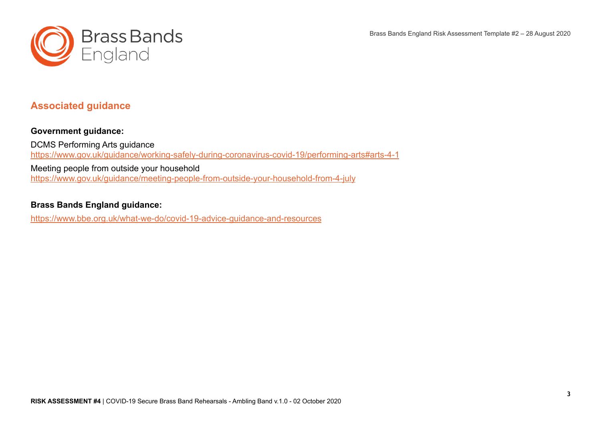Brass Bands England Risk Assessment Template #2 – 28 August 2020



### **Associated guidance**

**Government guidance:**  DCMS Performing Arts guidance [https://www.gov.uk/guidance/working-safely-during-coronavirus-covid-19/performing-arts#arts-4-1](https://www.gov.uk/guidance/working-safely-during-coronavirus-covid-19/performing-arts%23arts-4-1) Meeting people from outside your household

<https://www.gov.uk/guidance/meeting-people-from-outside-your-household-from-4-july>

#### **Brass Bands England guidance:**

<https://www.bbe.org.uk/what-we-do/covid-19-advice-guidance-and-resources>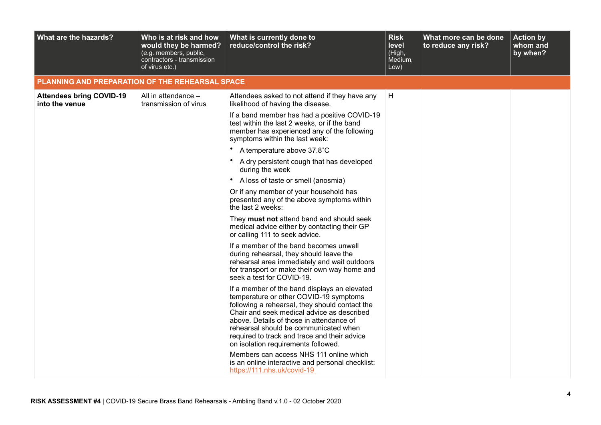| What are the hazards?                             | Who is at risk and how<br>would they be harmed?<br>(e.g. members, public,<br>contractors - transmission<br>of virus etc.) | What is currently done to<br>reduce/control the risk?                                                                                                                                                                                                                                                                                                                                                                                                             | <b>Risk</b><br>level<br>(High,<br>Medium,<br>Low) | What more can be done<br>to reduce any risk? | <b>Action by</b><br>whom and<br>by when? |
|---------------------------------------------------|---------------------------------------------------------------------------------------------------------------------------|-------------------------------------------------------------------------------------------------------------------------------------------------------------------------------------------------------------------------------------------------------------------------------------------------------------------------------------------------------------------------------------------------------------------------------------------------------------------|---------------------------------------------------|----------------------------------------------|------------------------------------------|
| PLANNING AND PREPARATION OF THE REHEARSAL SPACE   |                                                                                                                           |                                                                                                                                                                                                                                                                                                                                                                                                                                                                   |                                                   |                                              |                                          |
| <b>Attendees bring COVID-19</b><br>into the venue | All in attendance -<br>transmission of virus                                                                              | Attendees asked to not attend if they have any<br>likelihood of having the disease.                                                                                                                                                                                                                                                                                                                                                                               | H                                                 |                                              |                                          |
|                                                   |                                                                                                                           | If a band member has had a positive COVID-19<br>test within the last 2 weeks, or if the band<br>member has experienced any of the following<br>symptoms within the last week:                                                                                                                                                                                                                                                                                     |                                                   |                                              |                                          |
|                                                   |                                                                                                                           | A temperature above 37.8°C                                                                                                                                                                                                                                                                                                                                                                                                                                        |                                                   |                                              |                                          |
|                                                   |                                                                                                                           | A dry persistent cough that has developed<br>during the week                                                                                                                                                                                                                                                                                                                                                                                                      |                                                   |                                              |                                          |
|                                                   |                                                                                                                           | A loss of taste or smell (anosmia)<br>$\bullet$                                                                                                                                                                                                                                                                                                                                                                                                                   |                                                   |                                              |                                          |
|                                                   |                                                                                                                           | Or if any member of your household has<br>presented any of the above symptoms within<br>the last 2 weeks:                                                                                                                                                                                                                                                                                                                                                         |                                                   |                                              |                                          |
|                                                   |                                                                                                                           | They must not attend band and should seek<br>medical advice either by contacting their GP<br>or calling 111 to seek advice.                                                                                                                                                                                                                                                                                                                                       |                                                   |                                              |                                          |
|                                                   |                                                                                                                           | If a member of the band becomes unwell<br>during rehearsal, they should leave the<br>rehearsal area immediately and wait outdoors<br>for transport or make their own way home and<br>seek a test for COVID-19.                                                                                                                                                                                                                                                    |                                                   |                                              |                                          |
|                                                   |                                                                                                                           | If a member of the band displays an elevated<br>temperature or other COVID-19 symptoms<br>following a rehearsal, they should contact the<br>Chair and seek medical advice as described<br>above. Details of those in attendance of<br>rehearsal should be communicated when<br>required to track and trace and their advice<br>on isolation requirements followed.<br>Members can access NHS 111 online which<br>is an online interactive and personal checklist: |                                                   |                                              |                                          |
|                                                   |                                                                                                                           | https://111.nhs.uk/covid-19                                                                                                                                                                                                                                                                                                                                                                                                                                       |                                                   |                                              |                                          |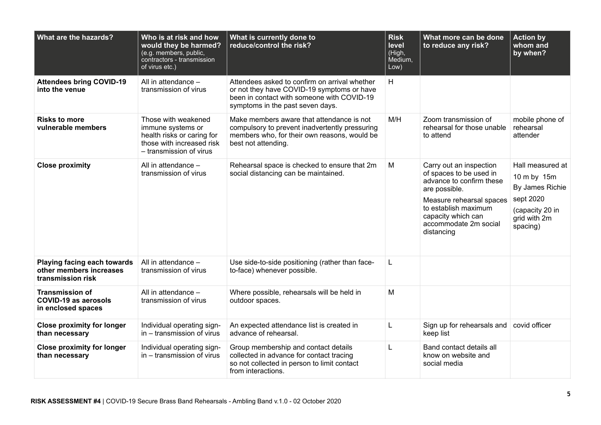| What are the hazards?                                                       | Who is at risk and how<br>would they be harmed?<br>(e.g. members, public,<br>contractors - transmission<br>of virus etc.)      | What is currently done to<br>reduce/control the risk?                                                                                                                         | <b>Risk</b><br>level<br>(High,<br>Medium,<br>Low) | What more can be done<br>to reduce any risk?                                                                                                                                                                     | <b>Action by</b><br>whom and<br>by when?                                                                       |
|-----------------------------------------------------------------------------|--------------------------------------------------------------------------------------------------------------------------------|-------------------------------------------------------------------------------------------------------------------------------------------------------------------------------|---------------------------------------------------|------------------------------------------------------------------------------------------------------------------------------------------------------------------------------------------------------------------|----------------------------------------------------------------------------------------------------------------|
| <b>Attendees bring COVID-19</b><br>into the venue                           | All in attendance -<br>transmission of virus                                                                                   | Attendees asked to confirm on arrival whether<br>or not they have COVID-19 symptoms or have<br>been in contact with someone with COVID-19<br>symptoms in the past seven days. | H                                                 |                                                                                                                                                                                                                  |                                                                                                                |
| <b>Risks to more</b><br>vulnerable members                                  | Those with weakened<br>immune systems or<br>health risks or caring for<br>those with increased risk<br>- transmission of virus | Make members aware that attendance is not<br>compulsory to prevent inadvertently pressuring<br>members who, for their own reasons, would be<br>best not attending.            | M/H                                               | Zoom transmission of<br>rehearsal for those unable<br>to attend                                                                                                                                                  | mobile phone of<br>rehearsal<br>attender                                                                       |
| <b>Close proximity</b>                                                      | All in attendance -<br>transmission of virus                                                                                   | Rehearsal space is checked to ensure that 2m<br>social distancing can be maintained.                                                                                          | M                                                 | Carry out an inspection<br>of spaces to be used in<br>advance to confirm these<br>are possible.<br>Measure rehearsal spaces<br>to establish maximum<br>capacity which can<br>accommodate 2m social<br>distancing | Hall measured at<br>10 m by 15m<br>By James Richie<br>sept 2020<br>(capacity 20 in<br>grid with 2m<br>spacing) |
| Playing facing each towards<br>other members increases<br>transmission risk | All in attendance -<br>transmission of virus                                                                                   | Use side-to-side positioning (rather than face-<br>to-face) whenever possible.                                                                                                | L                                                 |                                                                                                                                                                                                                  |                                                                                                                |
| <b>Transmission of</b><br><b>COVID-19 as aerosols</b><br>in enclosed spaces | All in attendance -<br>transmission of virus                                                                                   | Where possible, rehearsals will be held in<br>outdoor spaces.                                                                                                                 | M                                                 |                                                                                                                                                                                                                  |                                                                                                                |
| <b>Close proximity for longer</b><br>than necessary                         | Individual operating sign-<br>in - transmission of virus                                                                       | An expected attendance list is created in<br>advance of rehearsal.                                                                                                            | L                                                 | Sign up for rehearsals and<br>keep list                                                                                                                                                                          | covid officer                                                                                                  |
| <b>Close proximity for longer</b><br>than necessary                         | Individual operating sign-<br>in - transmission of virus                                                                       | Group membership and contact details<br>collected in advance for contact tracing<br>so not collected in person to limit contact<br>from interactions.                         | L                                                 | Band contact details all<br>know on website and<br>social media                                                                                                                                                  |                                                                                                                |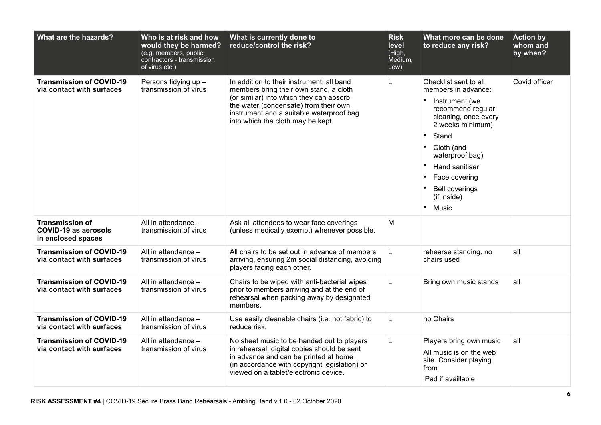| What are the hazards?                                                       | Who is at risk and how<br>would they be harmed?<br>(e.g. members, public,<br>contractors - transmission<br>of virus etc.) | What is currently done to<br>reduce/control the risk?                                                                                                                                                                                                    | <b>Risk</b><br>level<br>(High,<br>Medium,<br>Low) | What more can be done<br>to reduce any risk?                                                                                                                                                                                                                                              | <b>Action by</b><br>whom and<br>by when? |
|-----------------------------------------------------------------------------|---------------------------------------------------------------------------------------------------------------------------|----------------------------------------------------------------------------------------------------------------------------------------------------------------------------------------------------------------------------------------------------------|---------------------------------------------------|-------------------------------------------------------------------------------------------------------------------------------------------------------------------------------------------------------------------------------------------------------------------------------------------|------------------------------------------|
| <b>Transmission of COVID-19</b><br>via contact with surfaces                | Persons tidying up -<br>transmission of virus                                                                             | In addition to their instrument, all band<br>members bring their own stand, a cloth<br>(or similar) into which they can absorb<br>the water (condensate) from their own<br>instrument and a suitable waterproof bag<br>into which the cloth may be kept. | L                                                 | Checklist sent to all<br>members in advance:<br>Instrument (we<br>recommend regular<br>cleaning, once every<br>2 weeks minimum)<br>Stand<br>$\bullet$<br>Cloth (and<br>waterproof bag)<br>$\bullet$<br>Hand sanitiser<br>Face covering<br><b>Bell coverings</b><br>(if inside)<br>• Music | Covid officer                            |
| <b>Transmission of</b><br><b>COVID-19 as aerosols</b><br>in enclosed spaces | All in attendance -<br>transmission of virus                                                                              | Ask all attendees to wear face coverings<br>(unless medically exempt) whenever possible.                                                                                                                                                                 | M                                                 |                                                                                                                                                                                                                                                                                           |                                          |
| <b>Transmission of COVID-19</b><br>via contact with surfaces                | All in attendance -<br>transmission of virus                                                                              | All chairs to be set out in advance of members<br>arriving, ensuring 2m social distancing, avoiding<br>players facing each other.                                                                                                                        | L                                                 | rehearse standing. no<br>chairs used                                                                                                                                                                                                                                                      | all                                      |
| <b>Transmission of COVID-19</b><br>via contact with surfaces                | All in attendance -<br>transmission of virus                                                                              | Chairs to be wiped with anti-bacterial wipes<br>prior to members arriving and at the end of<br>rehearsal when packing away by designated<br>members.                                                                                                     | L.                                                | Bring own music stands                                                                                                                                                                                                                                                                    | all                                      |
| <b>Transmission of COVID-19</b><br>via contact with surfaces                | All in attendance -<br>transmission of virus                                                                              | Use easily cleanable chairs (i.e. not fabric) to<br>reduce risk.                                                                                                                                                                                         | L                                                 | no Chairs                                                                                                                                                                                                                                                                                 |                                          |
| <b>Transmission of COVID-19</b><br>via contact with surfaces                | All in attendance -<br>transmission of virus                                                                              | No sheet music to be handed out to players<br>in rehearsal; digital copies should be sent<br>in advance and can be printed at home<br>(in accordance with copyright legislation) or<br>viewed on a tablet/electronic device.                             | L                                                 | Players bring own music<br>All music is on the web<br>site. Consider playing<br>from<br>iPad if availlable                                                                                                                                                                                | all                                      |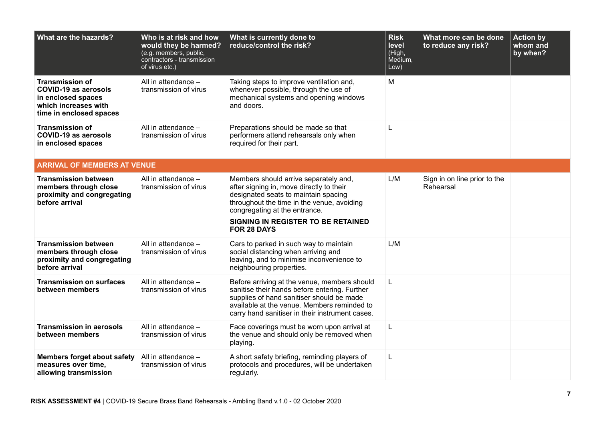| What are the hazards?                                                                                                          | Who is at risk and how<br>would they be harmed?<br>(e.g. members, public,<br>contractors - transmission<br>of virus etc.) | What is currently done to<br>reduce/control the risk?                                                                                                                                                                                                                       | <b>Risk</b><br>level<br>(High,<br>Medium,<br>Low) | What more can be done<br>to reduce any risk? | <b>Action by</b><br>whom and<br>by when? |
|--------------------------------------------------------------------------------------------------------------------------------|---------------------------------------------------------------------------------------------------------------------------|-----------------------------------------------------------------------------------------------------------------------------------------------------------------------------------------------------------------------------------------------------------------------------|---------------------------------------------------|----------------------------------------------|------------------------------------------|
| <b>Transmission of</b><br><b>COVID-19 as aerosols</b><br>in enclosed spaces<br>which increases with<br>time in enclosed spaces | All in attendance -<br>transmission of virus                                                                              | Taking steps to improve ventilation and,<br>whenever possible, through the use of<br>mechanical systems and opening windows<br>and doors.                                                                                                                                   | M                                                 |                                              |                                          |
| <b>Transmission of</b><br><b>COVID-19 as aerosols</b><br>in enclosed spaces                                                    | All in attendance -<br>transmission of virus                                                                              | Preparations should be made so that<br>performers attend rehearsals only when<br>required for their part.                                                                                                                                                                   | L                                                 |                                              |                                          |
| <b>ARRIVAL OF MEMBERS AT VENUE</b>                                                                                             |                                                                                                                           |                                                                                                                                                                                                                                                                             |                                                   |                                              |                                          |
| <b>Transmission between</b><br>members through close<br>proximity and congregating<br>before arrival                           | All in attendance -<br>transmission of virus                                                                              | Members should arrive separately and,<br>after signing in, move directly to their<br>designated seats to maintain spacing<br>throughout the time in the venue, avoiding<br>congregating at the entrance.<br><b>SIGNING IN REGISTER TO BE RETAINED</b><br><b>FOR 28 DAYS</b> | L/M                                               | Sign in on line prior to the<br>Rehearsal    |                                          |
| <b>Transmission between</b><br>members through close<br>proximity and congregating<br>before arrival                           | All in attendance -<br>transmission of virus                                                                              | Cars to parked in such way to maintain<br>social distancing when arriving and<br>leaving, and to minimise inconvenience to<br>neighbouring properties.                                                                                                                      | L/M                                               |                                              |                                          |
| <b>Transmission on surfaces</b><br>between members                                                                             | All in attendance -<br>transmission of virus                                                                              | Before arriving at the venue, members should<br>sanitise their hands before entering. Further<br>supplies of hand sanitiser should be made<br>available at the venue. Members reminded to<br>carry hand sanitiser in their instrument cases.                                | L                                                 |                                              |                                          |
| <b>Transmission in aerosols</b><br>between members                                                                             | All in attendance -<br>transmission of virus                                                                              | Face coverings must be worn upon arrival at<br>the venue and should only be removed when<br>playing.                                                                                                                                                                        | L                                                 |                                              |                                          |
| <b>Members forget about safety</b><br>measures over time,<br>allowing transmission                                             | All in attendance -<br>transmission of virus                                                                              | A short safety briefing, reminding players of<br>protocols and procedures, will be undertaken<br>regularly.                                                                                                                                                                 | L                                                 |                                              |                                          |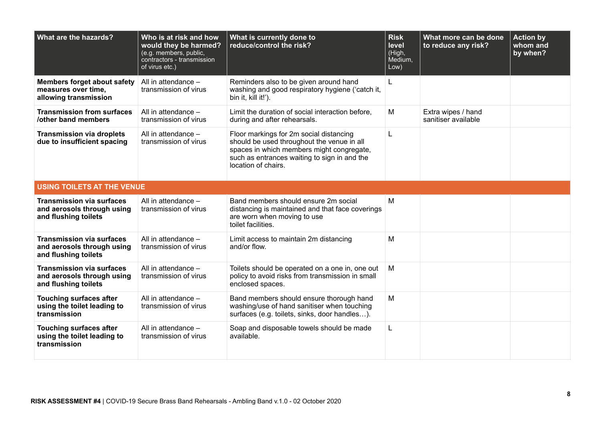| What are the hazards?                                                                  | Who is at risk and how<br>would they be harmed?<br>(e.g. members, public,<br>contractors - transmission<br>of virus etc.) | What is currently done to<br>reduce/control the risk?                                                                                                                                                     | <b>Risk</b><br>level<br>(High,<br>Medium,<br>Low) | What more can be done<br>to reduce any risk? | <b>Action by</b><br>whom and<br>by when? |
|----------------------------------------------------------------------------------------|---------------------------------------------------------------------------------------------------------------------------|-----------------------------------------------------------------------------------------------------------------------------------------------------------------------------------------------------------|---------------------------------------------------|----------------------------------------------|------------------------------------------|
| <b>Members forget about safety</b><br>measures over time,<br>allowing transmission     | All in attendance -<br>transmission of virus                                                                              | Reminders also to be given around hand<br>washing and good respiratory hygiene ('catch it,<br>bin it, kill it!').                                                                                         | L                                                 |                                              |                                          |
| <b>Transmission from surfaces</b><br>/other band members                               | All in attendance -<br>transmission of virus                                                                              | Limit the duration of social interaction before,<br>during and after rehearsals.                                                                                                                          | M                                                 | Extra wipes / hand<br>sanitiser available    |                                          |
| <b>Transmission via droplets</b><br>due to insufficient spacing                        | All in attendance -<br>transmission of virus                                                                              | Floor markings for 2m social distancing<br>should be used throughout the venue in all<br>spaces in which members might congregate,<br>such as entrances waiting to sign in and the<br>location of chairs. | L                                                 |                                              |                                          |
| <b>USING TOILETS AT THE VENUE</b>                                                      |                                                                                                                           |                                                                                                                                                                                                           |                                                   |                                              |                                          |
| <b>Transmission via surfaces</b><br>and aerosols through using<br>and flushing toilets | All in attendance -<br>transmission of virus                                                                              | Band members should ensure 2m social<br>distancing is maintained and that face coverings<br>are worn when moving to use<br>toilet facilities.                                                             | M                                                 |                                              |                                          |
| <b>Transmission via surfaces</b><br>and aerosols through using<br>and flushing toilets | All in attendance -<br>transmission of virus                                                                              | Limit access to maintain 2m distancing<br>and/or flow.                                                                                                                                                    | M                                                 |                                              |                                          |
| <b>Transmission via surfaces</b><br>and aerosols through using<br>and flushing toilets | All in attendance -<br>transmission of virus                                                                              | Toilets should be operated on a one in, one out<br>policy to avoid risks from transmission in small<br>enclosed spaces.                                                                                   | M                                                 |                                              |                                          |
| <b>Touching surfaces after</b><br>using the toilet leading to<br>transmission          | All in attendance -<br>transmission of virus                                                                              | Band members should ensure thorough hand<br>washing/use of hand sanitiser when touching<br>surfaces (e.g. toilets, sinks, door handles).                                                                  | M                                                 |                                              |                                          |
| <b>Touching surfaces after</b><br>using the toilet leading to<br>transmission          | All in attendance -<br>transmission of virus                                                                              | Soap and disposable towels should be made<br>available.                                                                                                                                                   | L                                                 |                                              |                                          |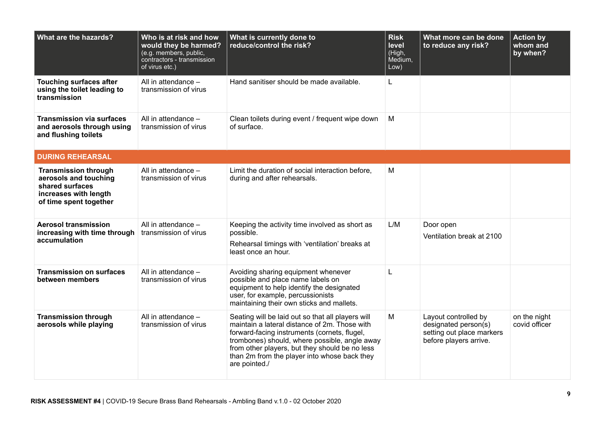| What are the hazards?                                                                                                      | Who is at risk and how<br>would they be harmed?<br>(e.g. members, public,<br>contractors - transmission<br>of virus etc.) | What is currently done to<br>reduce/control the risk?                                                                                                                                                                                                                                                                  | <b>Risk</b><br>level<br>(High,<br>Medium,<br>Low) | What more can be done<br>to reduce any risk?                                                        | <b>Action by</b><br>whom and<br>by when? |
|----------------------------------------------------------------------------------------------------------------------------|---------------------------------------------------------------------------------------------------------------------------|------------------------------------------------------------------------------------------------------------------------------------------------------------------------------------------------------------------------------------------------------------------------------------------------------------------------|---------------------------------------------------|-----------------------------------------------------------------------------------------------------|------------------------------------------|
| <b>Touching surfaces after</b><br>using the toilet leading to<br>transmission                                              | All in attendance -<br>transmission of virus                                                                              | Hand sanitiser should be made available.                                                                                                                                                                                                                                                                               | L                                                 |                                                                                                     |                                          |
| <b>Transmission via surfaces</b><br>and aerosols through using<br>and flushing toilets                                     | All in attendance -<br>transmission of virus                                                                              | Clean toilets during event / frequent wipe down<br>of surface.                                                                                                                                                                                                                                                         | M                                                 |                                                                                                     |                                          |
| <b>DURING REHEARSAL</b>                                                                                                    |                                                                                                                           |                                                                                                                                                                                                                                                                                                                        |                                                   |                                                                                                     |                                          |
| <b>Transmission through</b><br>aerosols and touching<br>shared surfaces<br>increases with length<br>of time spent together | All in attendance -<br>transmission of virus                                                                              | Limit the duration of social interaction before,<br>during and after rehearsals.                                                                                                                                                                                                                                       | M                                                 |                                                                                                     |                                          |
| <b>Aerosol transmission</b><br>increasing with time through<br>accumulation                                                | All in attendance -<br>transmission of virus                                                                              | Keeping the activity time involved as short as<br>possible.<br>Rehearsal timings with 'ventilation' breaks at<br>least once an hour.                                                                                                                                                                                   | L/M                                               | Door open<br>Ventilation break at 2100                                                              |                                          |
| <b>Transmission on surfaces</b><br>between members                                                                         | All in attendance -<br>transmission of virus                                                                              | Avoiding sharing equipment whenever<br>possible and place name labels on<br>equipment to help identify the designated<br>user, for example, percussionists<br>maintaining their own sticks and mallets.                                                                                                                | L                                                 |                                                                                                     |                                          |
| <b>Transmission through</b><br>aerosols while playing                                                                      | All in attendance -<br>transmission of virus                                                                              | Seating will be laid out so that all players will<br>maintain a lateral distance of 2m. Those with<br>forward-facing instruments (cornets, flugel,<br>trombones) should, where possible, angle away<br>from other players, but they should be no less<br>than 2m from the player into whose back they<br>are pointed./ | M                                                 | Layout controlled by<br>designated person(s)<br>setting out place markers<br>before players arrive. | on the night<br>covid officer            |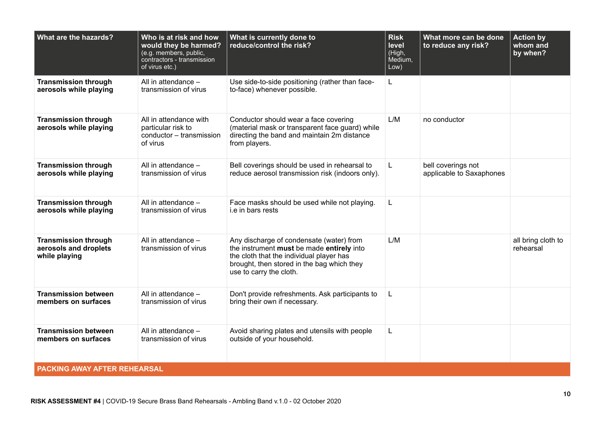| What are the hazards?                                                 | Who is at risk and how<br>would they be harmed?<br>(e.g. members, public,<br>contractors - transmission<br>of virus etc.) | What is currently done to<br>reduce/control the risk?                                                                                                                                                      | <b>Risk</b><br>level<br>(High,<br>Medium,<br>Low) | What more can be done<br>to reduce any risk?   | <b>Action by</b><br>whom and<br>by when? |
|-----------------------------------------------------------------------|---------------------------------------------------------------------------------------------------------------------------|------------------------------------------------------------------------------------------------------------------------------------------------------------------------------------------------------------|---------------------------------------------------|------------------------------------------------|------------------------------------------|
| <b>Transmission through</b><br>aerosols while playing                 | All in attendance -<br>transmission of virus                                                                              | Use side-to-side positioning (rather than face-<br>to-face) whenever possible.                                                                                                                             | L                                                 |                                                |                                          |
| <b>Transmission through</b><br>aerosols while playing                 | All in attendance with<br>particular risk to<br>conductor - transmission<br>of virus                                      | Conductor should wear a face covering<br>(material mask or transparent face guard) while<br>directing the band and maintain 2m distance<br>from players.                                                   | L/M                                               | no conductor                                   |                                          |
| <b>Transmission through</b><br>aerosols while playing                 | All in attendance -<br>transmission of virus                                                                              | Bell coverings should be used in rehearsal to<br>reduce aerosol transmission risk (indoors only).                                                                                                          | L                                                 | bell coverings not<br>applicable to Saxaphones |                                          |
| <b>Transmission through</b><br>aerosols while playing                 | All in attendance -<br>transmission of virus                                                                              | Face masks should be used while not playing.<br><i>i.e in bars rests</i>                                                                                                                                   | L                                                 |                                                |                                          |
| <b>Transmission through</b><br>aerosols and droplets<br>while playing | All in attendance -<br>transmission of virus                                                                              | Any discharge of condensate (water) from<br>the instrument must be made entirely into<br>the cloth that the individual player has<br>brought, then stored in the bag which they<br>use to carry the cloth. | L/M                                               |                                                | all bring cloth to<br>rehearsal          |
| <b>Transmission between</b><br>members on surfaces                    | All in attendance -<br>transmission of virus                                                                              | Don't provide refreshments. Ask participants to<br>bring their own if necessary.                                                                                                                           | L                                                 |                                                |                                          |
| <b>Transmission between</b><br>members on surfaces                    | All in attendance -<br>transmission of virus                                                                              | Avoid sharing plates and utensils with people<br>outside of your household.                                                                                                                                | L                                                 |                                                |                                          |
| <b>PACKING AWAY AFTER REHEARSAL</b>                                   |                                                                                                                           |                                                                                                                                                                                                            |                                                   |                                                |                                          |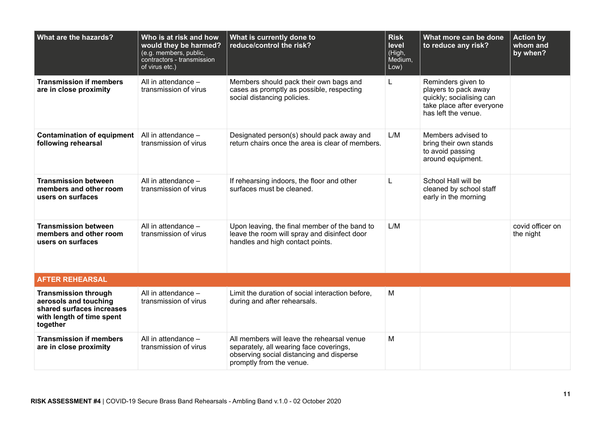| What are the hazards?                                                                                                      | Who is at risk and how<br>would they be harmed?<br>(e.g. members, public,<br>contractors - transmission<br>of virus etc.) | What is currently done to<br>reduce/control the risk?                                                                                                         | <b>Risk</b><br>level<br>(High,<br>Medium,<br>Low) | What more can be done<br>to reduce any risk?                                                                               | <b>Action by</b><br>whom and<br>by when? |
|----------------------------------------------------------------------------------------------------------------------------|---------------------------------------------------------------------------------------------------------------------------|---------------------------------------------------------------------------------------------------------------------------------------------------------------|---------------------------------------------------|----------------------------------------------------------------------------------------------------------------------------|------------------------------------------|
| <b>Transmission if members</b><br>are in close proximity                                                                   | All in attendance -<br>transmission of virus                                                                              | Members should pack their own bags and<br>cases as promptly as possible, respecting<br>social distancing policies.                                            | L.                                                | Reminders given to<br>players to pack away<br>quickly; socialising can<br>take place after everyone<br>has left the venue. |                                          |
| <b>Contamination of equipment</b><br>following rehearsal                                                                   | All in attendance -<br>transmission of virus                                                                              | Designated person(s) should pack away and<br>return chairs once the area is clear of members.                                                                 | L/M                                               | Members advised to<br>bring their own stands<br>to avoid passing<br>around equipment.                                      |                                          |
| <b>Transmission between</b><br>members and other room<br>users on surfaces                                                 | All in attendance -<br>transmission of virus                                                                              | If rehearsing indoors, the floor and other<br>surfaces must be cleaned.                                                                                       | $\mathsf{L}$                                      | School Hall will be<br>cleaned by school staff<br>early in the morning                                                     |                                          |
| <b>Transmission between</b><br>members and other room<br>users on surfaces                                                 | All in attendance -<br>transmission of virus                                                                              | Upon leaving, the final member of the band to<br>leave the room will spray and disinfect door<br>handles and high contact points.                             | L/M                                               |                                                                                                                            | covid officer on<br>the night            |
| <b>AFTER REHEARSAL</b>                                                                                                     |                                                                                                                           |                                                                                                                                                               |                                                   |                                                                                                                            |                                          |
| <b>Transmission through</b><br>aerosols and touching<br>shared surfaces increases<br>with length of time spent<br>together | All in attendance -<br>transmission of virus                                                                              | Limit the duration of social interaction before,<br>during and after rehearsals.                                                                              | M                                                 |                                                                                                                            |                                          |
| <b>Transmission if members</b><br>are in close proximity                                                                   | All in attendance -<br>transmission of virus                                                                              | All members will leave the rehearsal venue<br>separately, all wearing face coverings,<br>observing social distancing and disperse<br>promptly from the venue. | M                                                 |                                                                                                                            |                                          |